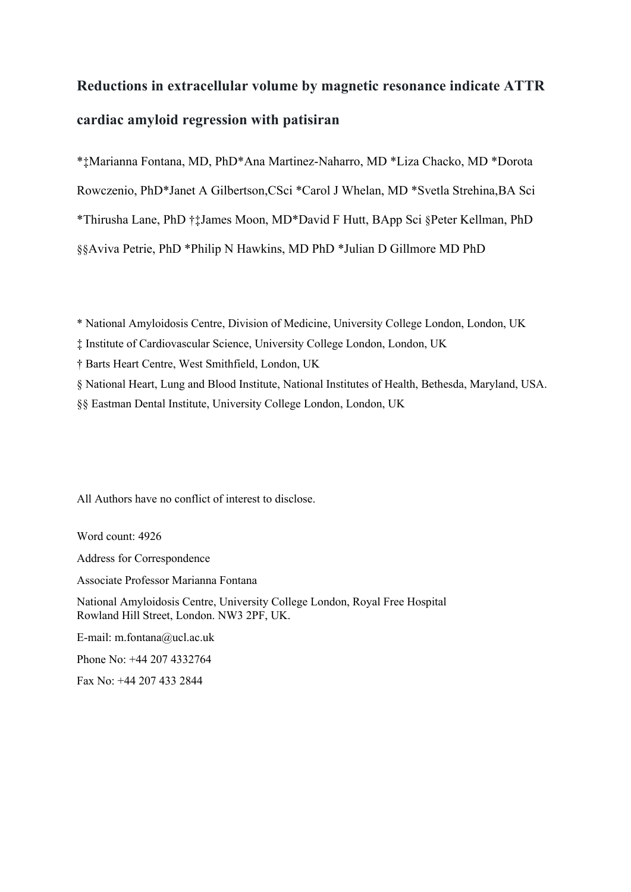# **Reductions in extracellular volume by magnetic resonance indicate ATTR cardiac amyloid regression with patisiran**

\*‡Marianna Fontana, MD, PhD\*Ana Martinez-Naharro, MD \*Liza Chacko, MD \*Dorota Rowczenio, PhD\*Janet A Gilbertson,CSci \*Carol J Whelan, MD \*Svetla Strehina,BA Sci \*Thirusha Lane, PhD †‡James Moon, MD\*David F Hutt, BApp Sci §Peter Kellman, PhD §§Aviva Petrie, PhD \*Philip N Hawkins, MD PhD \*Julian D Gillmore MD PhD

\* National Amyloidosis Centre, Division of Medicine, University College London, London, UK

‡ Institute of Cardiovascular Science, University College London, London, UK

† Barts Heart Centre, West Smithfield, London, UK

§ National Heart, Lung and Blood Institute, National Institutes of Health, Bethesda, Maryland, USA.

§§ Eastman Dental Institute, University College London, London, UK

All Authors have no conflict of interest to disclose.

Word count: 4926

Address for Correspondence

Associate Professor Marianna Fontana

National Amyloidosis Centre, University College London, Royal Free Hospital Rowland Hill Street, London. NW3 2PF, UK.

E-mail: m.fontana@ucl.ac.uk

Phone No: +44 207 4332764

Fax No: +44 207 433 2844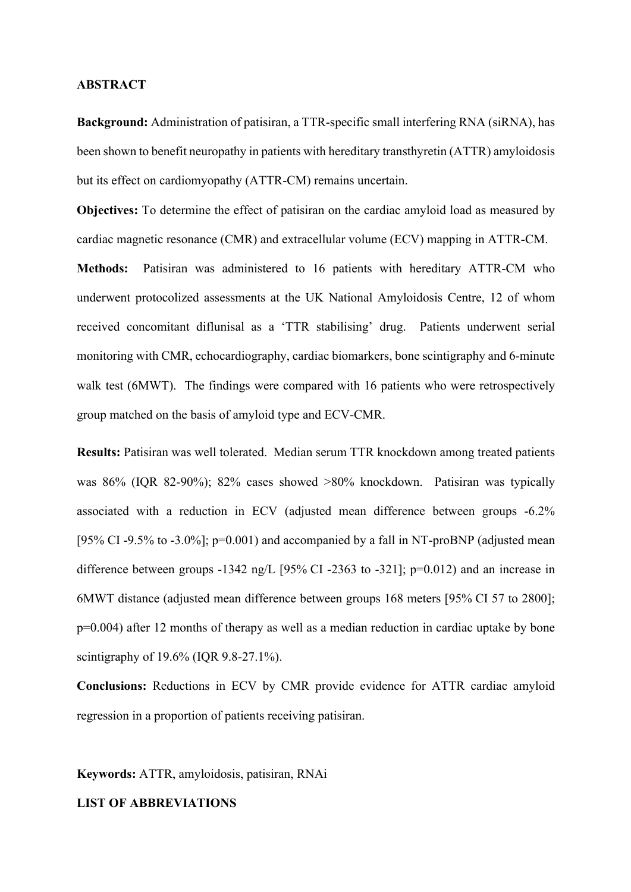#### **ABSTRACT**

**Background:** Administration of patisiran, a TTR-specific small interfering RNA (siRNA), has been shown to benefit neuropathy in patients with hereditary transthyretin (ATTR) amyloidosis but its effect on cardiomyopathy (ATTR-CM) remains uncertain.

**Objectives:** To determine the effect of patisiran on the cardiac amyloid load as measured by cardiac magnetic resonance (CMR) and extracellular volume (ECV) mapping in ATTR-CM.

**Methods:** Patisiran was administered to 16 patients with hereditary ATTR-CM who underwent protocolized assessments at the UK National Amyloidosis Centre, 12 of whom received concomitant diflunisal as a 'TTR stabilising' drug. Patients underwent serial monitoring with CMR, echocardiography, cardiac biomarkers, bone scintigraphy and 6-minute walk test (6MWT). The findings were compared with 16 patients who were retrospectively group matched on the basis of amyloid type and ECV-CMR.

**Results:** Patisiran was well tolerated. Median serum TTR knockdown among treated patients was 86% (IQR 82-90%); 82% cases showed >80% knockdown. Patisiran was typically associated with a reduction in ECV (adjusted mean difference between groups -6.2% [95% CI -9.5% to -3.0%];  $p=0.001$ ) and accompanied by a fall in NT-proBNP (adjusted mean difference between groups -1342 ng/L [95% CI -2363 to -321]; p=0.012) and an increase in 6MWT distance (adjusted mean difference between groups 168 meters [95% CI 57 to 2800]; p=0.004) after 12 months of therapy as well as a median reduction in cardiac uptake by bone scintigraphy of 19.6% (IQR 9.8-27.1%).

**Conclusions:** Reductions in ECV by CMR provide evidence for ATTR cardiac amyloid regression in a proportion of patients receiving patisiran.

**Keywords:** ATTR, amyloidosis, patisiran, RNAi

# **LIST OF ABBREVIATIONS**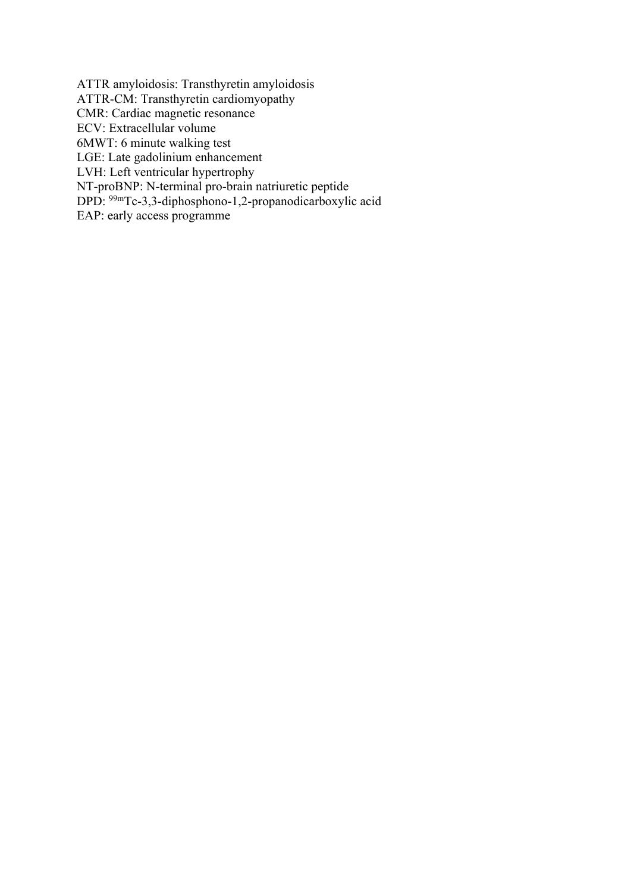ATTR amyloidosis: Transthyretin amyloidosis ATTR-CM: Transthyretin cardiomyopathy CMR: Cardiac magnetic resonance ECV: Extracellular volume 6MWT: 6 minute walking test LGE: Late gadolinium enhancement LVH: Left ventricular hypertrophy NT-proBNP: N-terminal pro-brain natriuretic peptide DPD: 99mTc-3,3-diphosphono-1,2-propanodicarboxylic acid EAP: early access programme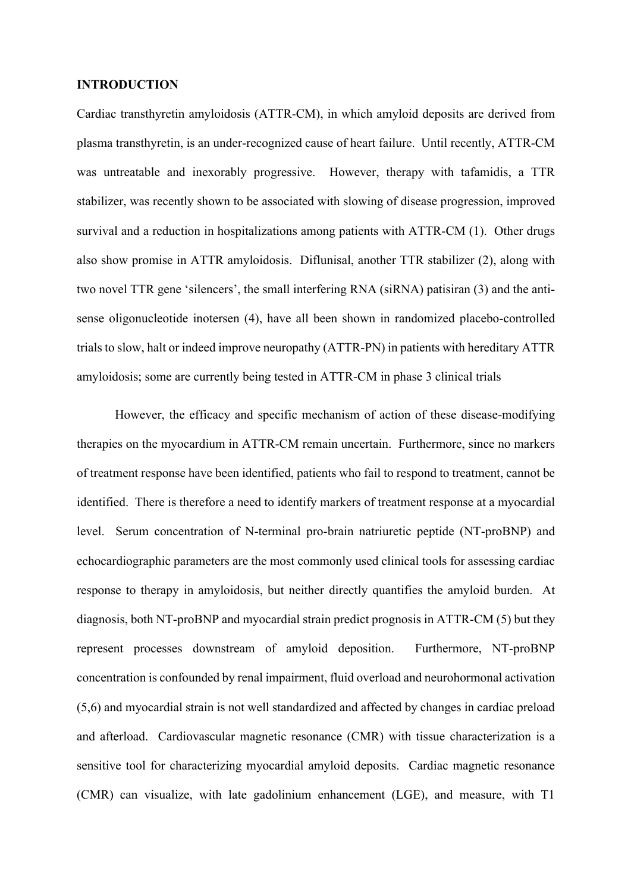#### **INTRODUCTION**

Cardiac transthyretin amyloidosis (ATTR-CM), in which amyloid deposits are derived from plasma transthyretin, is an under-recognized cause of heart failure. Until recently, ATTR-CM was untreatable and inexorably progressive. However, therapy with tafamidis, a TTR stabilizer, was recently shown to be associated with slowing of disease progression, improved survival and a reduction in hospitalizations among patients with ATTR-CM (1). Other drugs also show promise in ATTR amyloidosis. Diflunisal, another TTR stabilizer (2), along with two novel TTR gene 'silencers', the small interfering RNA (siRNA) patisiran (3) and the antisense oligonucleotide inotersen (4), have all been shown in randomized placebo-controlled trials to slow, halt or indeed improve neuropathy (ATTR-PN) in patients with hereditary ATTR amyloidosis; some are currently being tested in ATTR-CM in phase 3 clinical trials

However, the efficacy and specific mechanism of action of these disease-modifying therapies on the myocardium in ATTR-CM remain uncertain. Furthermore, since no markers of treatment response have been identified, patients who fail to respond to treatment, cannot be identified. There is therefore a need to identify markers of treatment response at a myocardial level. Serum concentration of N-terminal pro-brain natriuretic peptide (NT-proBNP) and echocardiographic parameters are the most commonly used clinical tools for assessing cardiac response to therapy in amyloidosis, but neither directly quantifies the amyloid burden. At diagnosis, both NT-proBNP and myocardial strain predict prognosis in ATTR-CM (5) but they represent processes downstream of amyloid deposition. Furthermore, NT-proBNP concentration is confounded by renal impairment, fluid overload and neurohormonal activation (5,6) and myocardial strain is not well standardized and affected by changes in cardiac preload and afterload. Cardiovascular magnetic resonance (CMR) with tissue characterization is a sensitive tool for characterizing myocardial amyloid deposits. Cardiac magnetic resonance (CMR) can visualize, with late gadolinium enhancement (LGE), and measure, with T1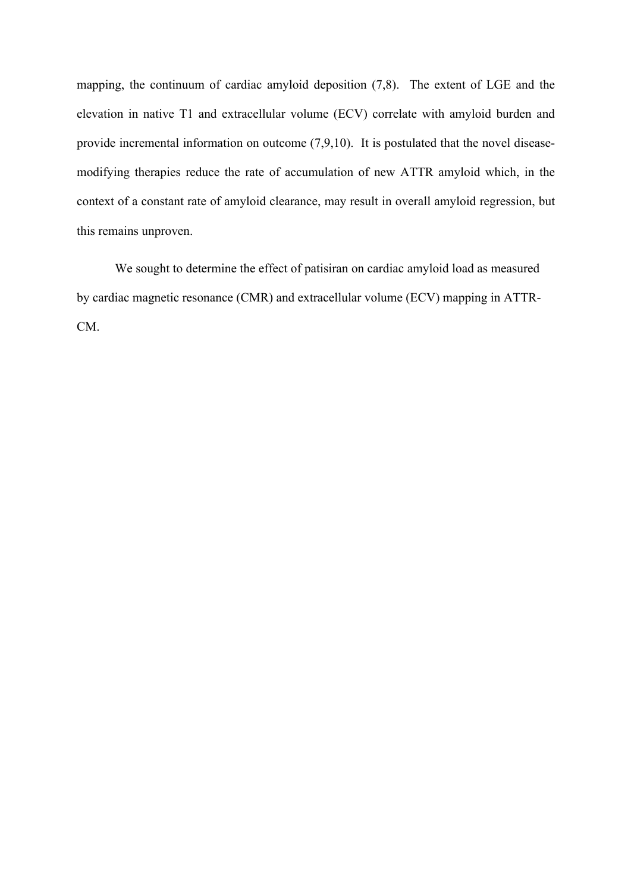mapping, the continuum of cardiac amyloid deposition (7,8). The extent of LGE and the elevation in native T1 and extracellular volume (ECV) correlate with amyloid burden and provide incremental information on outcome (7,9,10). It is postulated that the novel diseasemodifying therapies reduce the rate of accumulation of new ATTR amyloid which, in the context of a constant rate of amyloid clearance, may result in overall amyloid regression, but this remains unproven.

We sought to determine the effect of patisiran on cardiac amyloid load as measured by cardiac magnetic resonance (CMR) and extracellular volume (ECV) mapping in ATTR-CM.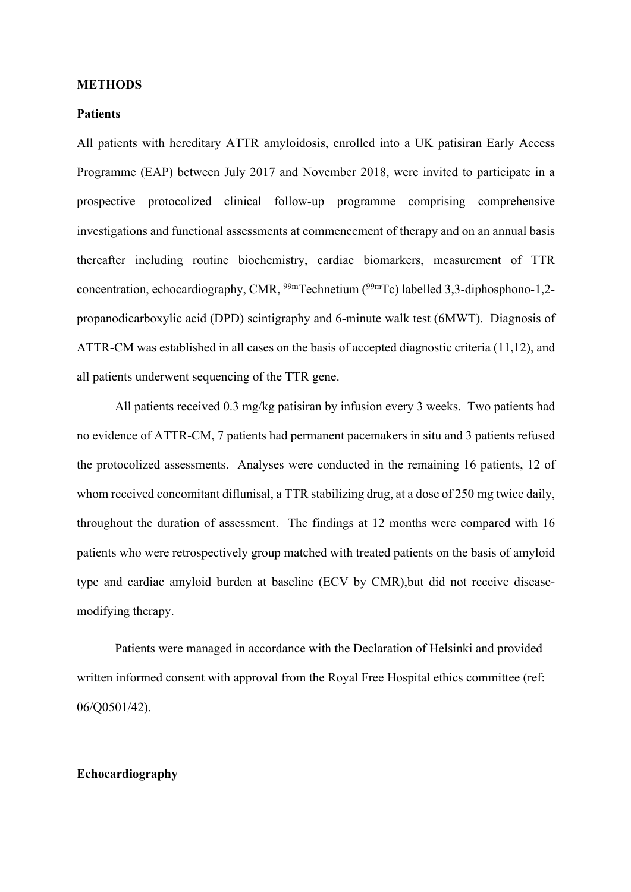#### **METHODS**

# **Patients**

All patients with hereditary ATTR amyloidosis, enrolled into a UK patisiran Early Access Programme (EAP) between July 2017 and November 2018, were invited to participate in a prospective protocolized clinical follow-up programme comprising comprehensive investigations and functional assessments at commencement of therapy and on an annual basis thereafter including routine biochemistry, cardiac biomarkers, measurement of TTR concentration, echocardiography, CMR, <sup>99m</sup>Technetium (<sup>99m</sup>Tc) labelled 3,3-diphosphono-1,2propanodicarboxylic acid (DPD) scintigraphy and 6-minute walk test (6MWT). Diagnosis of ATTR-CM was established in all cases on the basis of accepted diagnostic criteria (11,12), and all patients underwent sequencing of the TTR gene.

All patients received 0.3 mg/kg patisiran by infusion every 3 weeks. Two patients had no evidence of ATTR-CM, 7 patients had permanent pacemakers in situ and 3 patients refused the protocolized assessments. Analyses were conducted in the remaining 16 patients, 12 of whom received concomitant diflunisal, a TTR stabilizing drug, at a dose of 250 mg twice daily, throughout the duration of assessment. The findings at 12 months were compared with 16 patients who were retrospectively group matched with treated patients on the basis of amyloid type and cardiac amyloid burden at baseline (ECV by CMR),but did not receive diseasemodifying therapy.

Patients were managed in accordance with the Declaration of Helsinki and provided written informed consent with approval from the Royal Free Hospital ethics committee (ref: 06/Q0501/42).

# **Echocardiography**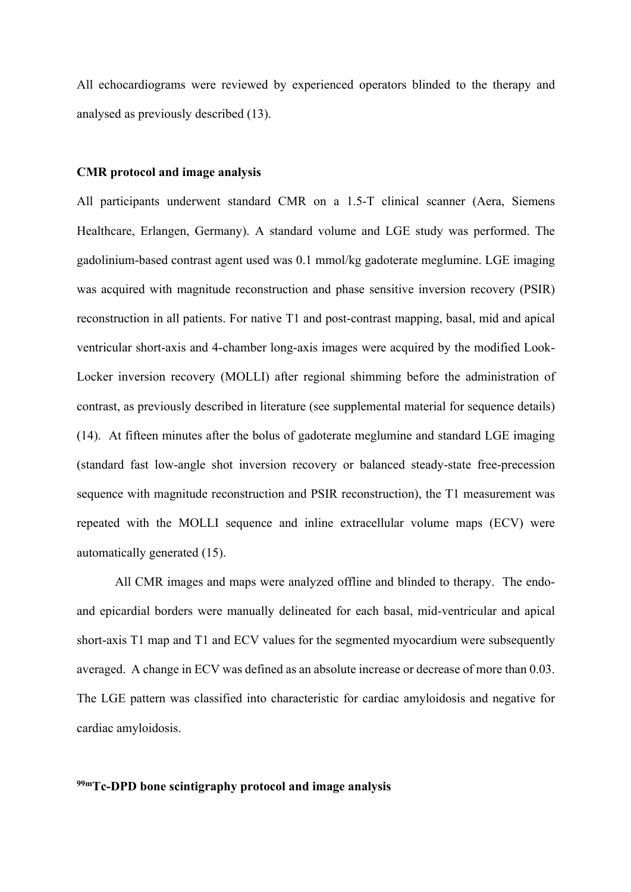All echocardiograms were reviewed by experienced operators blinded to the therapy and analysed as previously described (13).

#### **CMR protocol and image analysis**

All participants underwent standard CMR on a 1.5-T clinical scanner (Aera, Siemens Healthcare, Erlangen, Germany). A standard volume and LGE study was performed. The gadolinium-based contrast agent used was 0.1 mmol/kg gadoterate meglumine. LGE imaging was acquired with magnitude reconstruction and phase sensitive inversion recovery (PSIR) reconstruction in all patients. For native T1 and post-contrast mapping, basal, mid and apical ventricular short-axis and 4-chamber long-axis images were acquired by the modified Look-Locker inversion recovery (MOLLI) after regional shimming before the administration of contrast, as previously described in literature (see supplemental material for sequence details) (14). At fifteen minutes after the bolus of gadoterate meglumine and standard LGE imaging (standard fast low-angle shot inversion recovery or balanced steady-state free-precession sequence with magnitude reconstruction and PSIR reconstruction), the T1 measurement was repeated with the MOLLI sequence and inline extracellular volume maps (ECV) were automatically generated (15).

All CMR images and maps were analyzed offline and blinded to therapy. The endoand epicardial borders were manually delineated for each basal, mid-ventricular and apical short-axis T1 map and T1 and ECV values for the segmented myocardium were subsequently averaged. A change in ECV was defined as an absolute increase or decrease of more than 0.03. The LGE pattern was classified into characteristic for cardiac amyloidosis and negative for cardiac amyloidosis.

# **99mTc-DPD bone scintigraphy protocol and image analysis**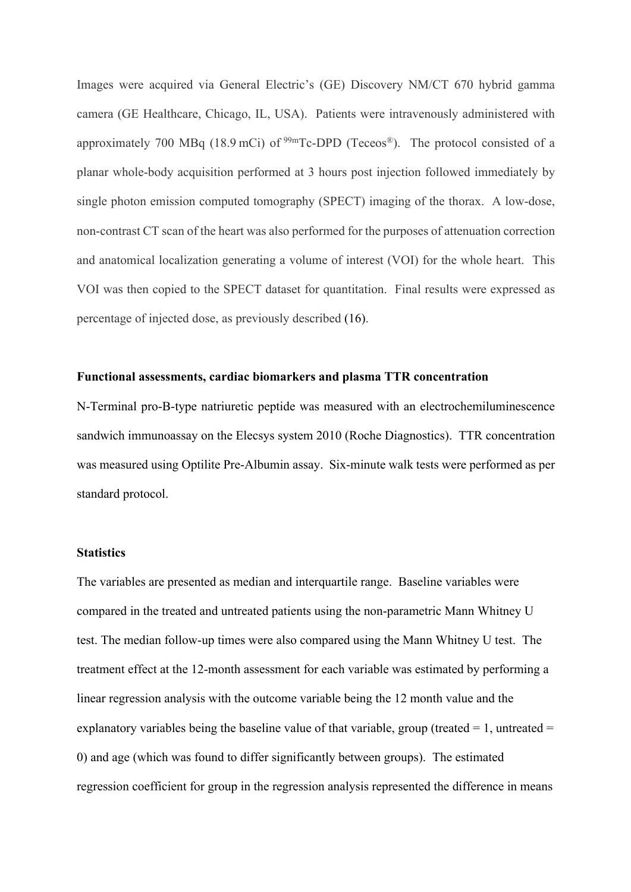Images were acquired via General Electric's (GE) Discovery NM/CT 670 hybrid gamma camera (GE Healthcare, Chicago, IL, USA). Patients were intravenously administered with approximately 700 MBq (18.9 mCi) of  $99mTc-DPD$  (Teceos®). The protocol consisted of a planar whole-body acquisition performed at 3 hours post injection followed immediately by single photon emission computed tomography (SPECT) imaging of the thorax. A low-dose, non-contrast CT scan of the heart was also performed for the purposes of attenuation correction and anatomical localization generating a volume of interest (VOI) for the whole heart. This VOI was then copied to the SPECT dataset for quantitation. Final results were expressed as percentage of injected dose, as previously described (16).

#### **Functional assessments, cardiac biomarkers and plasma TTR concentration**

N-Terminal pro-B-type natriuretic peptide was measured with an electrochemiluminescence sandwich immunoassay on the Elecsys system 2010 (Roche Diagnostics). TTR concentration was measured using Optilite Pre-Albumin assay. Six-minute walk tests were performed as per standard protocol.

# **Statistics**

The variables are presented as median and interquartile range. Baseline variables were compared in the treated and untreated patients using the non-parametric Mann Whitney U test. The median follow-up times were also compared using the Mann Whitney U test. The treatment effect at the 12-month assessment for each variable was estimated by performing a linear regression analysis with the outcome variable being the 12 month value and the explanatory variables being the baseline value of that variable, group (treated  $= 1$ , untreated  $=$ 0) and age (which was found to differ significantly between groups). The estimated regression coefficient for group in the regression analysis represented the difference in means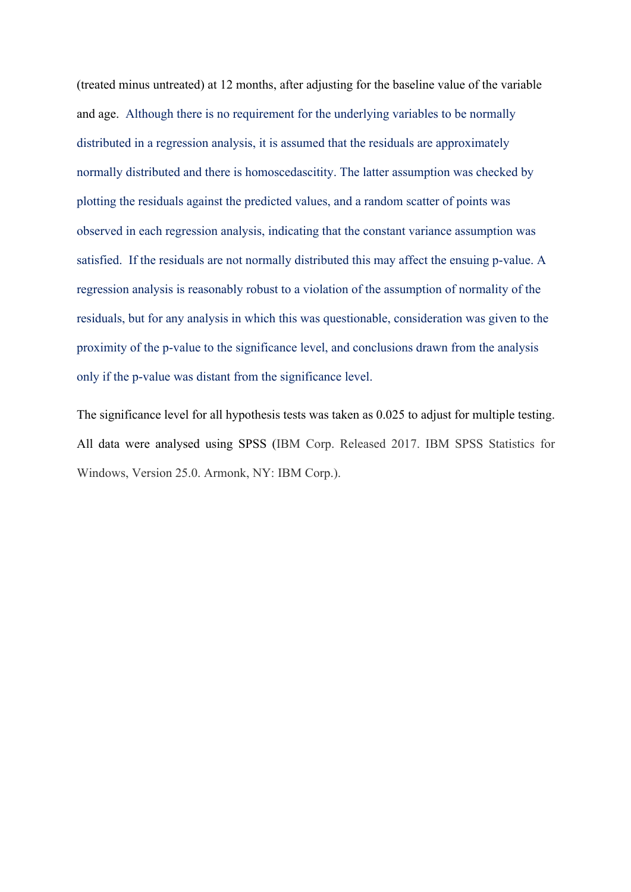(treated minus untreated) at 12 months, after adjusting for the baseline value of the variable and age. Although there is no requirement for the underlying variables to be normally distributed in a regression analysis, it is assumed that the residuals are approximately normally distributed and there is homoscedascitity. The latter assumption was checked by plotting the residuals against the predicted values, and a random scatter of points was observed in each regression analysis, indicating that the constant variance assumption was satisfied. If the residuals are not normally distributed this may affect the ensuing p-value. A regression analysis is reasonably robust to a violation of the assumption of normality of the residuals, but for any analysis in which this was questionable, consideration was given to the proximity of the p-value to the significance level, and conclusions drawn from the analysis only if the p-value was distant from the significance level.

The significance level for all hypothesis tests was taken as 0.025 to adjust for multiple testing. All data were analysed using SPSS (IBM Corp. Released 2017. IBM SPSS Statistics for Windows, Version 25.0. Armonk, NY: IBM Corp.).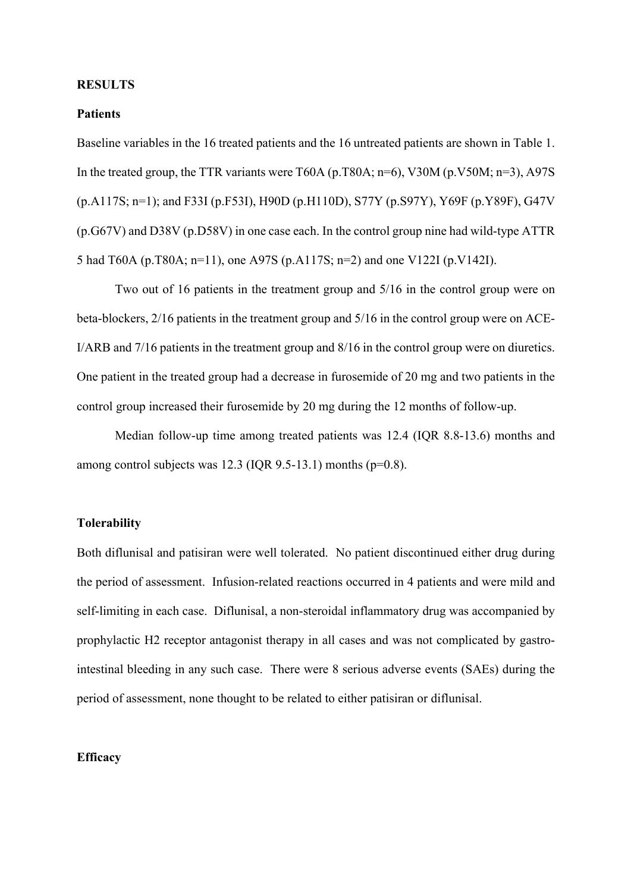#### **RESULTS**

# **Patients**

Baseline variables in the 16 treated patients and the 16 untreated patients are shown in Table 1. In the treated group, the TTR variants were T60A (p.T80A;  $n=6$ ), V30M (p.V50M;  $n=3$ ), A97S (p.A117S; n=1); and F33I (p.F53I), H90D (p.H110D), S77Y (p.S97Y), Y69F (p.Y89F), G47V (p.G67V) and D38V (p.D58V) in one case each. In the control group nine had wild-type ATTR 5 had T60A (p.T80A; n=11), one A97S (p.A117S; n=2) and one V122I (p.V142I).

Two out of 16 patients in the treatment group and 5/16 in the control group were on beta-blockers, 2/16 patients in the treatment group and 5/16 in the control group were on ACE-I/ARB and 7/16 patients in the treatment group and 8/16 in the control group were on diuretics. One patient in the treated group had a decrease in furosemide of 20 mg and two patients in the control group increased their furosemide by 20 mg during the 12 months of follow-up.

Median follow-up time among treated patients was 12.4 (IQR 8.8-13.6) months and among control subjects was  $12.3$  (IQR 9.5-13.1) months ( $p=0.8$ ).

#### **Tolerability**

Both diflunisal and patisiran were well tolerated. No patient discontinued either drug during the period of assessment. Infusion-related reactions occurred in 4 patients and were mild and self-limiting in each case. Diflunisal, a non-steroidal inflammatory drug was accompanied by prophylactic H2 receptor antagonist therapy in all cases and was not complicated by gastrointestinal bleeding in any such case. There were 8 serious adverse events (SAEs) during the period of assessment, none thought to be related to either patisiran or diflunisal.

## **Efficacy**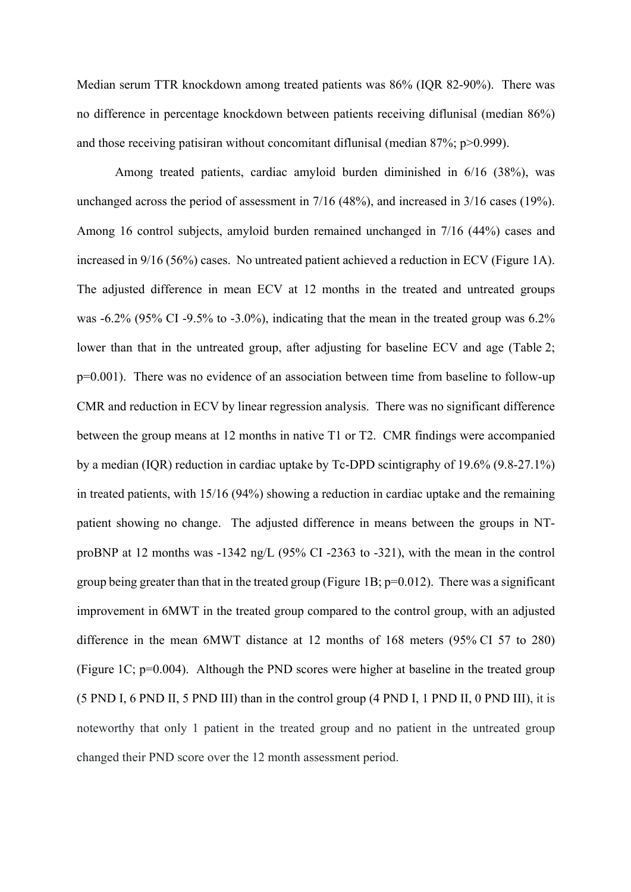Median serum TTR knockdown among treated patients was 86% (IQR 82-90%). There was no difference in percentage knockdown between patients receiving diflunisal (median 86%) and those receiving patisiran without concomitant diflunisal (median 87%; p>0.999).

Among treated patients, cardiac amyloid burden diminished in 6/16 (38%), was unchanged across the period of assessment in 7/16 (48%), and increased in 3/16 cases (19%). Among 16 control subjects, amyloid burden remained unchanged in 7/16 (44%) cases and increased in 9/16 (56%) cases. No untreated patient achieved a reduction in ECV (Figure 1A). The adjusted difference in mean ECV at 12 months in the treated and untreated groups was -6.2% (95% CI -9.5% to -3.0%), indicating that the mean in the treated group was 6.2% lower than that in the untreated group, after adjusting for baseline ECV and age (Table 2; p=0.001). There was no evidence of an association between time from baseline to follow-up CMR and reduction in ECV by linear regression analysis. There was no significant difference between the group means at 12 months in native T1 or T2. CMR findings were accompanied by a median (IQR) reduction in cardiac uptake by Tc-DPD scintigraphy of 19.6% (9.8-27.1%) in treated patients, with 15/16 (94%) showing a reduction in cardiac uptake and the remaining patient showing no change. The adjusted difference in means between the groups in NTproBNP at 12 months was -1342 ng/L (95% CI -2363 to -321), with the mean in the control group being greater than that in the treated group (Figure 1B;  $p=0.012$ ). There was a significant improvement in 6MWT in the treated group compared to the control group, with an adjusted difference in the mean 6MWT distance at 12 months of 168 meters (95% CI 57 to 280) (Figure 1C;  $p=0.004$ ). Although the PND scores were higher at baseline in the treated group (5 PND I, 6 PND II, 5 PND III) than in the control group (4 PND I, 1 PND II, 0 PND III), it is noteworthy that only 1 patient in the treated group and no patient in the untreated group changed their PND score over the 12 month assessment period.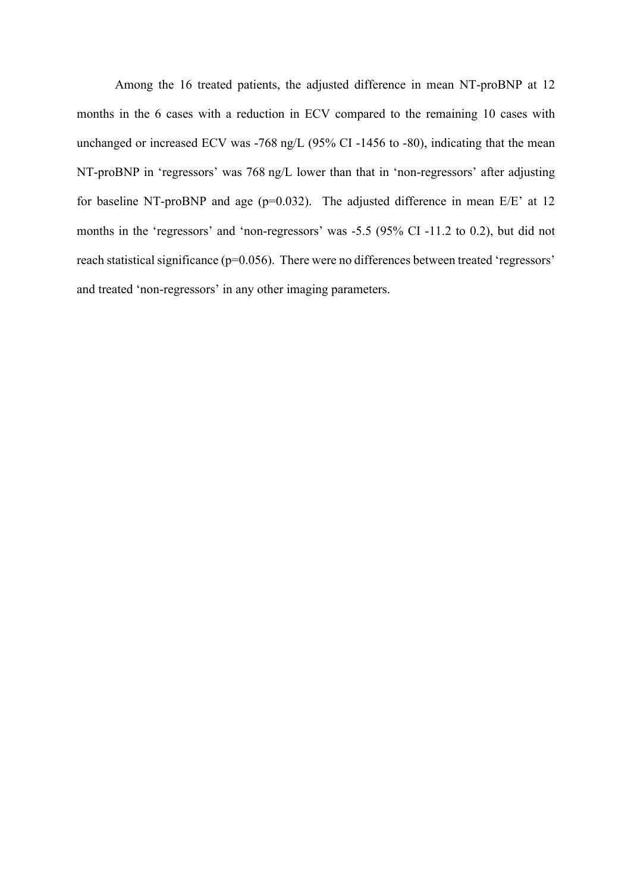Among the 16 treated patients, the adjusted difference in mean NT-proBNP at 12 months in the 6 cases with a reduction in ECV compared to the remaining 10 cases with unchanged or increased ECV was -768 ng/L (95% CI -1456 to -80), indicating that the mean NT-proBNP in 'regressors' was 768 ng/L lower than that in 'non-regressors' after adjusting for baseline NT-proBNP and age ( $p=0.032$ ). The adjusted difference in mean E/E' at 12 months in the 'regressors' and 'non-regressors' was -5.5 (95% CI -11.2 to 0.2), but did not reach statistical significance (p=0.056). There were no differences between treated 'regressors' and treated 'non-regressors' in any other imaging parameters.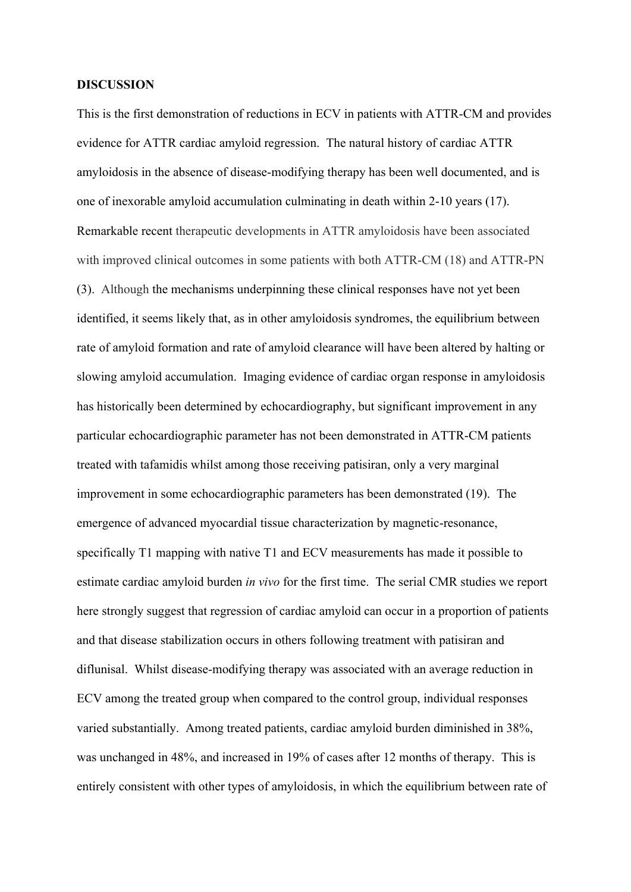#### **DISCUSSION**

This is the first demonstration of reductions in ECV in patients with ATTR-CM and provides evidence for ATTR cardiac amyloid regression. The natural history of cardiac ATTR amyloidosis in the absence of disease-modifying therapy has been well documented, and is one of inexorable amyloid accumulation culminating in death within 2-10 years (17). Remarkable recent therapeutic developments in ATTR amyloidosis have been associated with improved clinical outcomes in some patients with both ATTR-CM (18) and ATTR-PN (3). Although the mechanisms underpinning these clinical responses have not yet been identified, it seems likely that, as in other amyloidosis syndromes, the equilibrium between rate of amyloid formation and rate of amyloid clearance will have been altered by halting or slowing amyloid accumulation. Imaging evidence of cardiac organ response in amyloidosis has historically been determined by echocardiography, but significant improvement in any particular echocardiographic parameter has not been demonstrated in ATTR-CM patients treated with tafamidis whilst among those receiving patisiran, only a very marginal improvement in some echocardiographic parameters has been demonstrated (19). The emergence of advanced myocardial tissue characterization by magnetic-resonance, specifically T1 mapping with native T1 and ECV measurements has made it possible to estimate cardiac amyloid burden *in vivo* for the first time. The serial CMR studies we report here strongly suggest that regression of cardiac amyloid can occur in a proportion of patients and that disease stabilization occurs in others following treatment with patisiran and diflunisal. Whilst disease-modifying therapy was associated with an average reduction in ECV among the treated group when compared to the control group, individual responses varied substantially. Among treated patients, cardiac amyloid burden diminished in 38%, was unchanged in 48%, and increased in 19% of cases after 12 months of therapy. This is entirely consistent with other types of amyloidosis, in which the equilibrium between rate of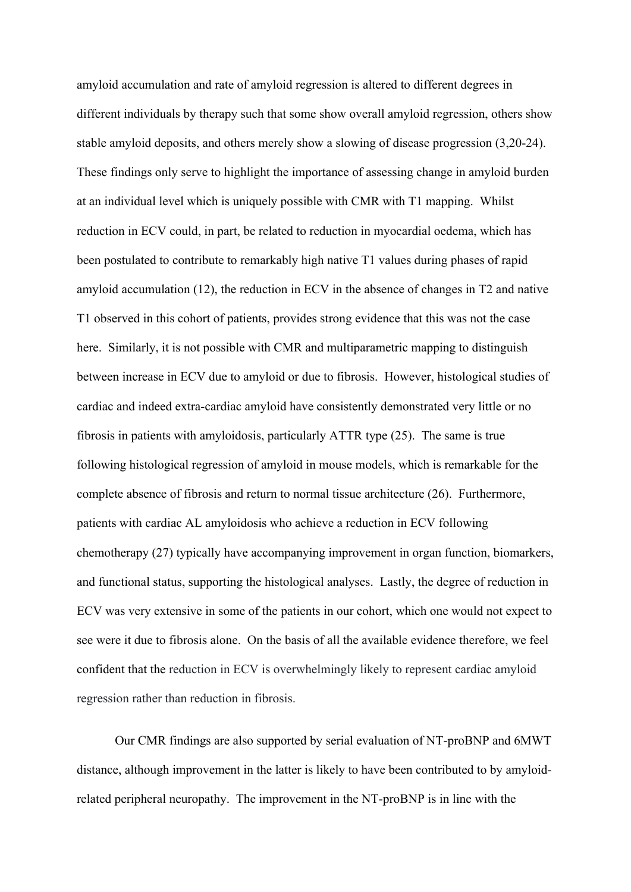amyloid accumulation and rate of amyloid regression is altered to different degrees in different individuals by therapy such that some show overall amyloid regression, others show stable amyloid deposits, and others merely show a slowing of disease progression (3,20-24). These findings only serve to highlight the importance of assessing change in amyloid burden at an individual level which is uniquely possible with CMR with T1 mapping. Whilst reduction in ECV could, in part, be related to reduction in myocardial oedema, which has been postulated to contribute to remarkably high native T1 values during phases of rapid amyloid accumulation (12), the reduction in ECV in the absence of changes in T2 and native T1 observed in this cohort of patients, provides strong evidence that this was not the case here. Similarly, it is not possible with CMR and multiparametric mapping to distinguish between increase in ECV due to amyloid or due to fibrosis. However, histological studies of cardiac and indeed extra-cardiac amyloid have consistently demonstrated very little or no fibrosis in patients with amyloidosis, particularly ATTR type (25). The same is true following histological regression of amyloid in mouse models, which is remarkable for the complete absence of fibrosis and return to normal tissue architecture (26). Furthermore, patients with cardiac AL amyloidosis who achieve a reduction in ECV following chemotherapy (27) typically have accompanying improvement in organ function, biomarkers, and functional status, supporting the histological analyses. Lastly, the degree of reduction in ECV was very extensive in some of the patients in our cohort, which one would not expect to see were it due to fibrosis alone. On the basis of all the available evidence therefore, we feel confident that the reduction in ECV is overwhelmingly likely to represent cardiac amyloid regression rather than reduction in fibrosis.

Our CMR findings are also supported by serial evaluation of NT-proBNP and 6MWT distance, although improvement in the latter is likely to have been contributed to by amyloidrelated peripheral neuropathy. The improvement in the NT-proBNP is in line with the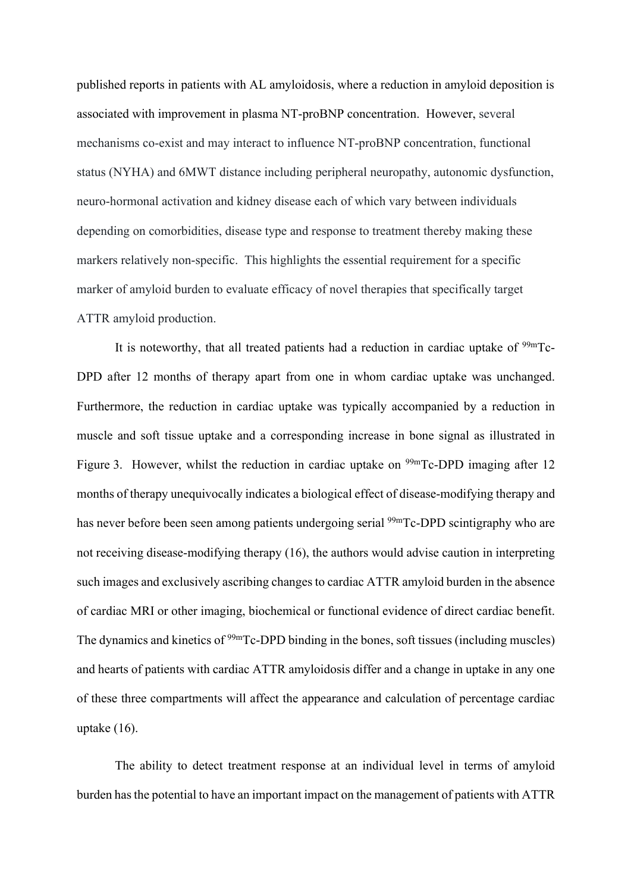published reports in patients with AL amyloidosis, where a reduction in amyloid deposition is associated with improvement in plasma NT-proBNP concentration. However, several mechanisms co-exist and may interact to influence NT-proBNP concentration, functional status (NYHA) and 6MWT distance including peripheral neuropathy, autonomic dysfunction, neuro-hormonal activation and kidney disease each of which vary between individuals depending on comorbidities, disease type and response to treatment thereby making these markers relatively non-specific. This highlights the essential requirement for a specific marker of amyloid burden to evaluate efficacy of novel therapies that specifically target ATTR amyloid production.

It is noteworthy, that all treated patients had a reduction in cardiac uptake of  $99mTc$ -DPD after 12 months of therapy apart from one in whom cardiac uptake was unchanged. Furthermore, the reduction in cardiac uptake was typically accompanied by a reduction in muscle and soft tissue uptake and a corresponding increase in bone signal as illustrated in Figure 3. However, whilst the reduction in cardiac uptake on <sup>99m</sup>Tc-DPD imaging after 12 months of therapy unequivocally indicates a biological effect of disease-modifying therapy and has never before been seen among patients undergoing serial <sup>99m</sup>Tc-DPD scintigraphy who are not receiving disease-modifying therapy (16), the authors would advise caution in interpreting such images and exclusively ascribing changes to cardiac ATTR amyloid burden in the absence of cardiac MRI or other imaging, biochemical or functional evidence of direct cardiac benefit. The dynamics and kinetics of <sup>99m</sup>Tc-DPD binding in the bones, soft tissues (including muscles) and hearts of patients with cardiac ATTR amyloidosis differ and a change in uptake in any one of these three compartments will affect the appearance and calculation of percentage cardiac uptake (16).

The ability to detect treatment response at an individual level in terms of amyloid burden has the potential to have an important impact on the management of patients with ATTR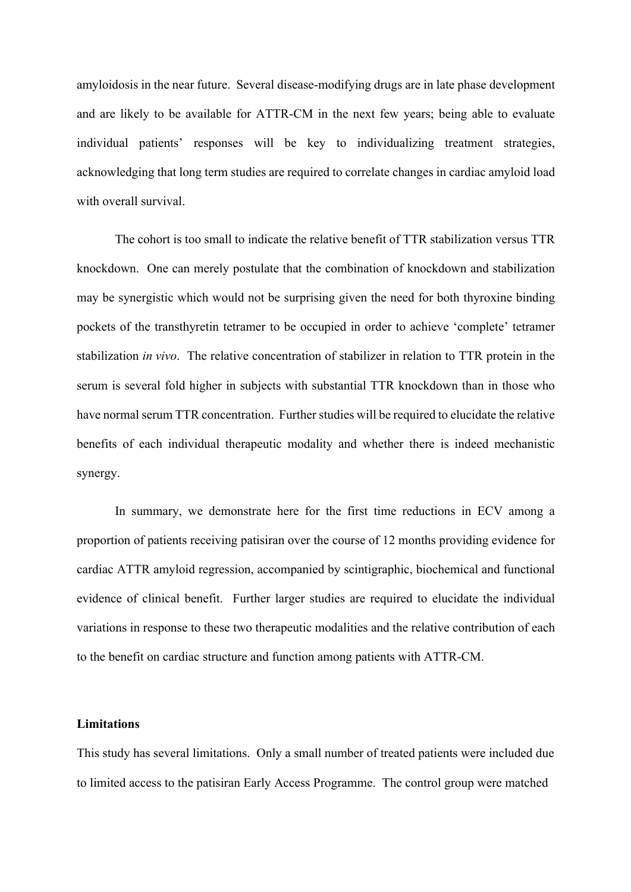amyloidosis in the near future. Several disease-modifying drugs are in late phase development and are likely to be available for ATTR-CM in the next few years; being able to evaluate individual patients' responses will be key to individualizing treatment strategies, acknowledging that long term studies are required to correlate changes in cardiac amyloid load with overall survival.

The cohort is too small to indicate the relative benefit of TTR stabilization versus TTR knockdown. One can merely postulate that the combination of knockdown and stabilization may be synergistic which would not be surprising given the need for both thyroxine binding pockets of the transthyretin tetramer to be occupied in order to achieve 'complete' tetramer stabilization *in vivo*. The relative concentration of stabilizer in relation to TTR protein in the serum is several fold higher in subjects with substantial TTR knockdown than in those who have normal serum TTR concentration. Further studies will be required to elucidate the relative benefits of each individual therapeutic modality and whether there is indeed mechanistic synergy.

In summary, we demonstrate here for the first time reductions in ECV among a proportion of patients receiving patisiran over the course of 12 months providing evidence for cardiac ATTR amyloid regression, accompanied by scintigraphic, biochemical and functional evidence of clinical benefit. Further larger studies are required to elucidate the individual variations in response to these two therapeutic modalities and the relative contribution of each to the benefit on cardiac structure and function among patients with ATTR-CM.

# **Limitations**

This study has several limitations. Only a small number of treated patients were included due to limited access to the patisiran Early Access Programme. The control group were matched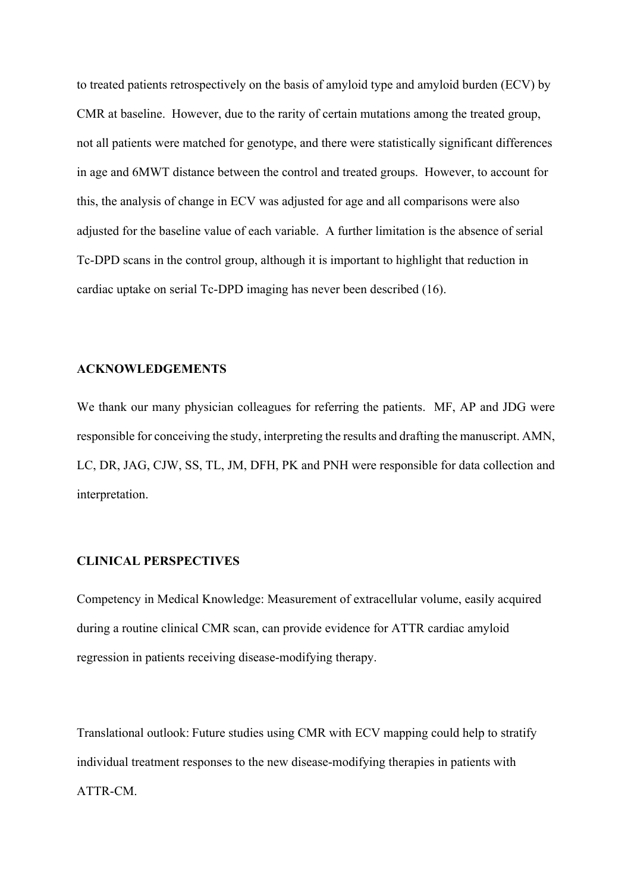to treated patients retrospectively on the basis of amyloid type and amyloid burden (ECV) by CMR at baseline. However, due to the rarity of certain mutations among the treated group, not all patients were matched for genotype, and there were statistically significant differences in age and 6MWT distance between the control and treated groups. However, to account for this, the analysis of change in ECV was adjusted for age and all comparisons were also adjusted for the baseline value of each variable. A further limitation is the absence of serial Tc-DPD scans in the control group, although it is important to highlight that reduction in cardiac uptake on serial Tc-DPD imaging has never been described (16).

#### **ACKNOWLEDGEMENTS**

We thank our many physician colleagues for referring the patients. MF, AP and JDG were responsible for conceiving the study, interpreting the results and drafting the manuscript. AMN, LC, DR, JAG, CJW, SS, TL, JM, DFH, PK and PNH were responsible for data collection and interpretation.

#### **CLINICAL PERSPECTIVES**

Competency in Medical Knowledge: Measurement of extracellular volume, easily acquired during a routine clinical CMR scan, can provide evidence for ATTR cardiac amyloid regression in patients receiving disease-modifying therapy.

Translational outlook: Future studies using CMR with ECV mapping could help to stratify individual treatment responses to the new disease-modifying therapies in patients with ATTR-CM.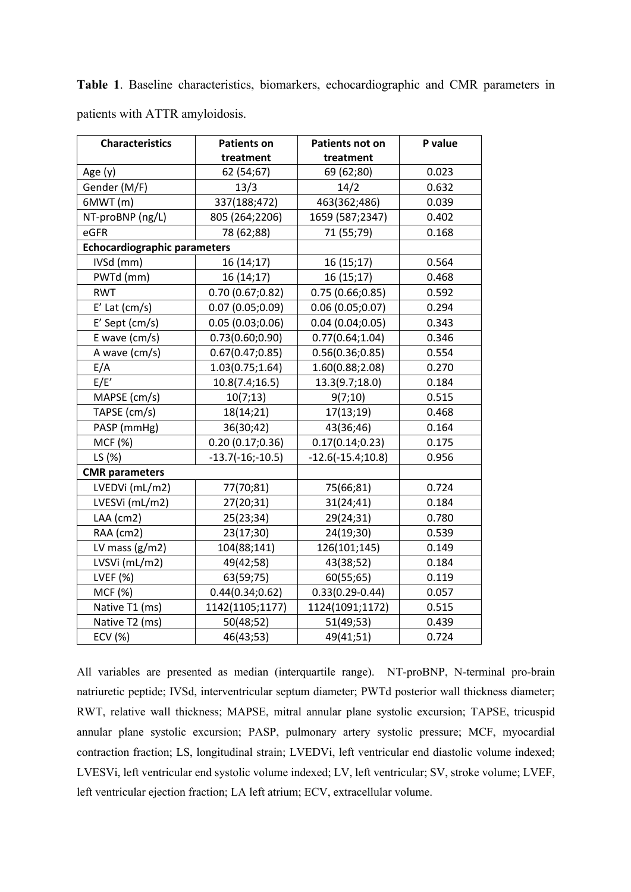patients with ATTR amyloidosis. **Characteristics | Patients on treatment Patients not on treatment P value**  Age (y)  $\begin{array}{|c|c|c|c|c|c|c|c|c|} \hline \text{62 (54;67)} & \text{69 (62;80)} & \text{0.023} \hline \end{array}$ Gender (M/F)  $\begin{array}{|c|c|c|c|c|c|c|c|} \hline \end{array}$  13/3 14/2 14/2 0.632 6MWT (m) 337(188;472) 463(362;486) 0.039 NT-proBNP (ng/L) 805 (264;2206) 1659 (587;2347) 0.402 eGFR 10.168 **Echocardiographic parameters**  $IVSd (mm)$  16 (14;17) 16 (15;17) 0.564 PWTd (mm) 16 (14;17) 16 (15;17) 16 (16) RWT 0.70 (0.67;0.82) 0.75 (0.66;0.85) 0.592 E' Lat  $(cm/s)$  0.07 (0.05;0.09) 0.06 (0.05;0.07) 0.294 E' Sept (cm/s) 0.05 (0.03;0.06) 0.04 (0.04;0.05) 0.343 E wave (cm/s)  $\begin{array}{|c|c|c|c|c|c|c|c|c|} \hline 0.73(0.60;0.90) & 0.77(0.64;1.04) & 0.346 \hline \end{array}$  A wave (cm/s) 0.67(0.47;0.85) 0.56(0.36;0.85) 0.554  $E/A$  1.03(0.75;1.64) 1.60(0.88;2.08) 0.270  $E/E'$  10.8(7.4;16.5) 13.3(9.7;18.0) 0.184 MAPSE (cm/s)  $\vert$  10(7;13)  $\vert$  9(7;10) 10.515 TAPSE (cm/s) 18(14;21) 17(13;19) 0.468 PASP (mmHg)  $36(30;42)$  43(36;46) 0.164 MCF (%)  $\vert$  0.20 (0.17;0.36) 0.17(0.14;0.23) 0.175 LS  $(\%)$  -13.7(-16;-10.5) -12.6(-15.4;10.8) 0.956 **CMR parameters** LVEDVi (mL/m2) | 77(70;81) | 75(66;81) | 0.724 LVESVi (mL/m2) 27(20;31) 31(24;41) 0.184 LAA (cm2)  $\vert$  25(23;34)  $\vert$  29(24;31)  $\vert$  0.780 RAA (cm2) 23(17;30) 24(19;30) 0.539 LV mass  $(g/m2)$   $104(88;141)$   $126(101;145)$  0.149

LVSVi (mL/m2)  $49(42;58)$   $43(38;52)$  0.184 LVEF (%) 63(59;75) 60(55;65) 0.119 MCF (%) 0.44(0.34;0.62) 0.33(0.29-0.44) 0.057 Native T1 (ms) | 1142(1105;1177) | 1124(1091;1172) | 0.515 Native T2 (ms)  $\begin{array}{|c|c|c|c|c|} \hline \text{Native T2 (ms)} & \text{S0(48;52)} & \text{S1(49;53)} & \text{S2(439)} \\ \hline \end{array}$ ECV (%) 46(43;53) 49(41;51) 0.724

**Table 1**. Baseline characteristics, biomarkers, echocardiographic and CMR parameters in

All variables are presented as median (interquartile range). NT-proBNP, N-terminal pro-brain natriuretic peptide; IVSd, interventricular septum diameter; PWTd posterior wall thickness diameter; RWT, relative wall thickness; MAPSE, mitral annular plane systolic excursion; TAPSE, tricuspid annular plane systolic excursion; PASP, pulmonary artery systolic pressure; MCF, myocardial contraction fraction; LS, longitudinal strain; LVEDVi, left ventricular end diastolic volume indexed; LVESVi, left ventricular end systolic volume indexed; LV, left ventricular; SV, stroke volume; LVEF, left ventricular ejection fraction; LA left atrium; ECV, extracellular volume.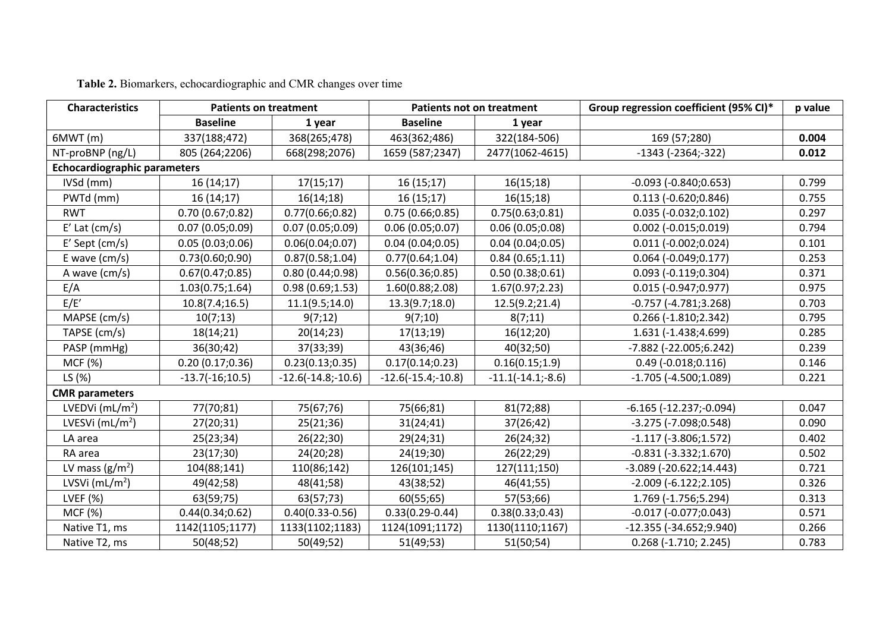| <b>Characteristics</b>              | <b>Patients on treatment</b> |                      | <b>Patients not on treatment</b> |                     | Group regression coefficient (95% CI)* | p value |  |  |  |
|-------------------------------------|------------------------------|----------------------|----------------------------------|---------------------|----------------------------------------|---------|--|--|--|
|                                     | <b>Baseline</b>              | 1 year               | <b>Baseline</b>                  | 1 year              |                                        |         |  |  |  |
| 6MWT(m)                             | 337(188;472)                 | 368(265;478)         | 463(362;486)                     | 322(184-506)        | 169 (57;280)                           | 0.004   |  |  |  |
| NT-proBNP (ng/L)                    | 805 (264;2206)               | 668(298;2076)        | 1659 (587;2347)                  | 2477(1062-4615)     | $-1343$ ( $-2364$ ; $-322$ )           | 0.012   |  |  |  |
| <b>Echocardiographic parameters</b> |                              |                      |                                  |                     |                                        |         |  |  |  |
| IVSd (mm)                           | 16(14;17)                    | 17(15;17)            | 16(15;17)                        | 16(15;18)           | $-0.093$ $(-0.840;0.653)$              | 0.799   |  |  |  |
| PWTd (mm)                           | 16(14;17)                    | 16(14;18)            | 16(15;17)                        | 16(15;18)           | $0.113 (-0.620; 0.846)$                | 0.755   |  |  |  |
| <b>RWT</b>                          | 0.70(0.67;0.82)              | 0.77(0.66;0.82)      | 0.75(0.66;0.85)                  | 0.75(0.63;0.81)     | $0.035 (-0.032; 0.102)$                | 0.297   |  |  |  |
| $E'$ Lat (cm/s)                     | 0.07(0.05;0.09)              | 0.07(0.05;0.09)      | 0.06(0.05;0.07)                  | 0.06(0.05;0.08)     | $0.002$ (-0.015;0.019)                 | 0.794   |  |  |  |
| $E'$ Sept (cm/s)                    | 0.05(0.03;0.06)              | 0.06(0.04;0.07)      | 0.04(0.04;0.05)                  | 0.04(0.04;0.05)     | $0.011 (-0.002; 0.024)$                | 0.101   |  |  |  |
| E wave $\text{(cm/s)}$              | 0.73(0.60; 0.90)             | 0.87(0.58;1.04)      | 0.77(0.64;1.04)                  | 0.84(0.65;1.11)     | $0.064$ (-0.049;0.177)                 | 0.253   |  |  |  |
| A wave (cm/s)                       | 0.67(0.47;0.85)              | 0.80(0.44;0.98)      | 0.56(0.36;0.85)                  | 0.50(0.38;0.61)     | $0.093 (-0.119) 0.304)$                | 0.371   |  |  |  |
| E/A                                 | 1.03(0.75;1.64)              | 0.98(0.69;1.53)      | 1.60(0.88; 2.08)                 | 1.67(0.97;2.23)     | $0.015 (-0.947; 0.977)$                | 0.975   |  |  |  |
| E/E'                                | 10.8(7.4;16.5)               | 11.1(9.5;14.0)       | 13.3(9.7;18.0)                   | 12.5(9.2;21.4)      | $-0.757$ $(-4.781;3.268)$              | 0.703   |  |  |  |
| MAPSE (cm/s)                        | 10(7;13)                     | 9(7;12)              | 9(7;10)                          | 8(7;11)             | $0.266$ (-1.810;2.342)                 | 0.795   |  |  |  |
| TAPSE (cm/s)                        | 18(14;21)                    | 20(14;23)            | 17(13;19)                        | 16(12;20)           | 1.631 (-1.438;4.699)                   | 0.285   |  |  |  |
| PASP (mmHg)                         | 36(30;42)                    | 37(33;39)            | 43(36;46)                        | 40(32;50)           | -7.882 (-22.005;6.242)                 | 0.239   |  |  |  |
| MCF (%)                             | 0.20(0.17;0.36)              | 0.23(0.13;0.35)      | 0.17(0.14;0.23)                  | 0.16(0.15;1.9)      | $0.49$ (-0.018;0.116)                  | 0.146   |  |  |  |
| LS (%)                              | $-13.7(-16;10.5)$            | $-12.6(-14.8,-10.6)$ | $-12.6(-15.4,-10.8)$             | $-11.1(-14.1,-8.6)$ | $-1.705$ ( $-4.500;1.089$ )            | 0.221   |  |  |  |
| <b>CMR</b> parameters               |                              |                      |                                  |                     |                                        |         |  |  |  |
| LVEDVi $(mL/m2)$                    | 77(70;81)                    | 75(67;76)            | 75(66;81)                        | 81(72;88)           | $-6.165$ $(-12.237; -0.094)$           | 0.047   |  |  |  |
| LVESVi $(mL/m2)$                    | 27(20;31)                    | 25(21;36)            | 31(24;41)                        | 37(26;42)           | $-3.275$ ( $-7.098$ ; 0.548)           | 0.090   |  |  |  |
| LA area                             | 25(23;34)                    | 26(22;30)            | 29(24;31)                        | 26(24;32)           | $-1.117(-3.806;1.572)$                 | 0.402   |  |  |  |
| RA area                             | 23(17;30)                    | 24(20;28)            | 24(19;30)                        | 26(22;29)           | $-0.831(-3.332;1.670)$                 | 0.502   |  |  |  |
| LV mass $(g/m2)$                    | 104(88;141)                  | 110(86;142)          | 126(101;145)                     | 127(111;150)        | $-3.089$ $(-20.622;14.443)$            | 0.721   |  |  |  |
| LVSVi $(mL/m2)$                     | 49(42;58)                    | 48(41;58)            | 43(38;52)                        | 46(41;55)           | $-2.009(-6.122;2.105)$                 | 0.326   |  |  |  |
| LVEF $(%)$                          | 63(59;75)                    | 63(57;73)            | 60(55;65)                        | 57(53;66)           | 1.769 (-1.756;5.294)                   | 0.313   |  |  |  |
| MCF (%)                             | 0.44(0.34;0.62)              | $0.40(0.33 - 0.56)$  | $0.33(0.29 - 0.44)$              | 0.38(0.33;0.43)     | $-0.017$ $(-0.077;0.043)$              | 0.571   |  |  |  |
| Native T1, ms                       | 1142(1105;1177)              | 1133(1102;1183)      | 1124(1091;1172)                  | 1130(1110;1167)     | $-12.355(-34.652;9.940)$               | 0.266   |  |  |  |
| Native T2, ms                       | 50(48;52)                    | 50(49;52)            | 51(49;53)                        | 51(50;54)           | $0.268(-1.710; 2.245)$                 | 0.783   |  |  |  |

**Table 2.** Biomarkers, echocardiographic and CMR changes over time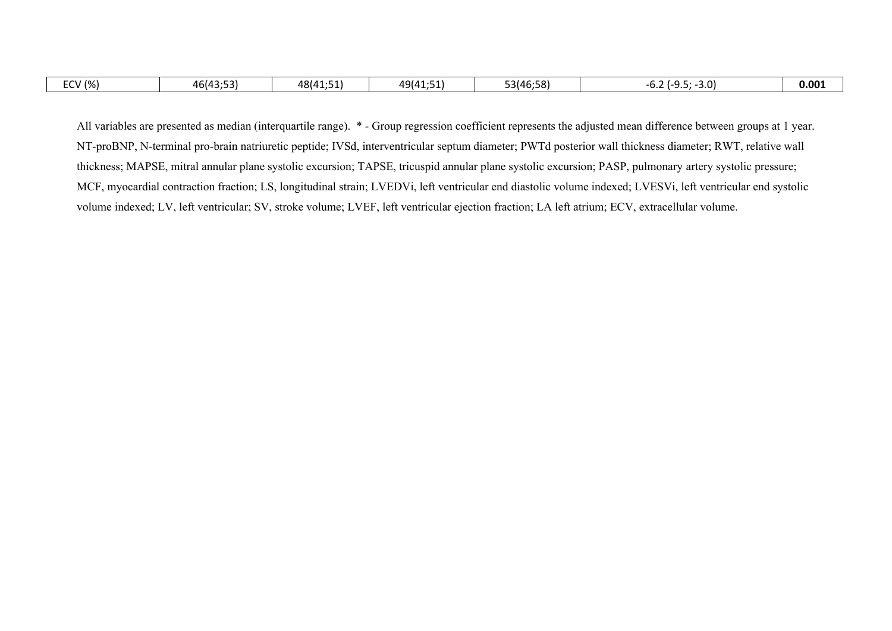| $\sim$<br>/ (%)<br>- -<br>-- | $\cdots$<br>46143.53<br>т  ју<br>r L J | $ \sim$<br>48(41:51)<br>. | $\sim$<br>49641.5 | 53(46:58) | $-3.0$<br>-<br>v.z<br><u>.</u> | 0.001 |
|------------------------------|----------------------------------------|---------------------------|-------------------|-----------|--------------------------------|-------|

All variables are presented as median (interquartile range).  $*$  - Group regression coefficient represents the adjusted mean difference between groups at 1 year. NT-proBNP, N-terminal pro-brain natriuretic peptide; IVSd, interventricular septum diameter; PWTd posterior wall thickness diameter; RWT, relative wall thickness; MAPSE, mitral annular plane systolic excursion; TAPSE, tricuspid annular plane systolic excursion; PASP, pulmonary artery systolic pressure; MCF, myocardial contraction fraction; LS, longitudinal strain; LVEDVi, left ventricular end diastolic volume indexed; LVESVi, left ventricular end systolic volume indexed; LV, left ventricular; SV, stroke volume; LVEF, left ventricular ejection fraction; LA left atrium; ECV, extracellular volume.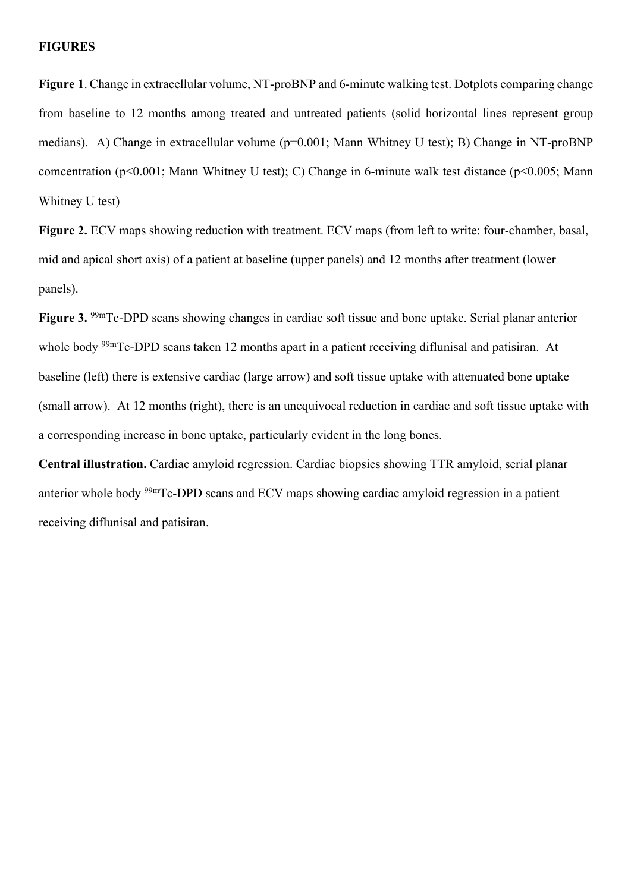# **FIGURES**

**Figure 1**. Change in extracellular volume, NT-proBNP and 6-minute walking test. Dotplots comparing change from baseline to 12 months among treated and untreated patients (solid horizontal lines represent group medians). A) Change in extracellular volume (p=0.001; Mann Whitney U test); B) Change in NT-proBNP comcentration (p<0.001; Mann Whitney U test); C) Change in 6-minute walk test distance (p<0.005; Mann Whitney U test)

**Figure 2.** ECV maps showing reduction with treatment. ECV maps (from left to write: four-chamber, basal, mid and apical short axis) of a patient at baseline (upper panels) and 12 months after treatment (lower panels).

**Figure 3.** 99mTc-DPD scans showing changes in cardiac soft tissue and bone uptake. Serial planar anterior whole body <sup>99m</sup>Tc-DPD scans taken 12 months apart in a patient receiving diflunisal and patisiran. At baseline (left) there is extensive cardiac (large arrow) and soft tissue uptake with attenuated bone uptake (small arrow). At 12 months (right), there is an unequivocal reduction in cardiac and soft tissue uptake with a corresponding increase in bone uptake, particularly evident in the long bones.

**Central illustration.** Cardiac amyloid regression. Cardiac biopsies showing TTR amyloid, serial planar anterior whole body 99mTc-DPD scans and ECV maps showing cardiac amyloid regression in a patient receiving diflunisal and patisiran.